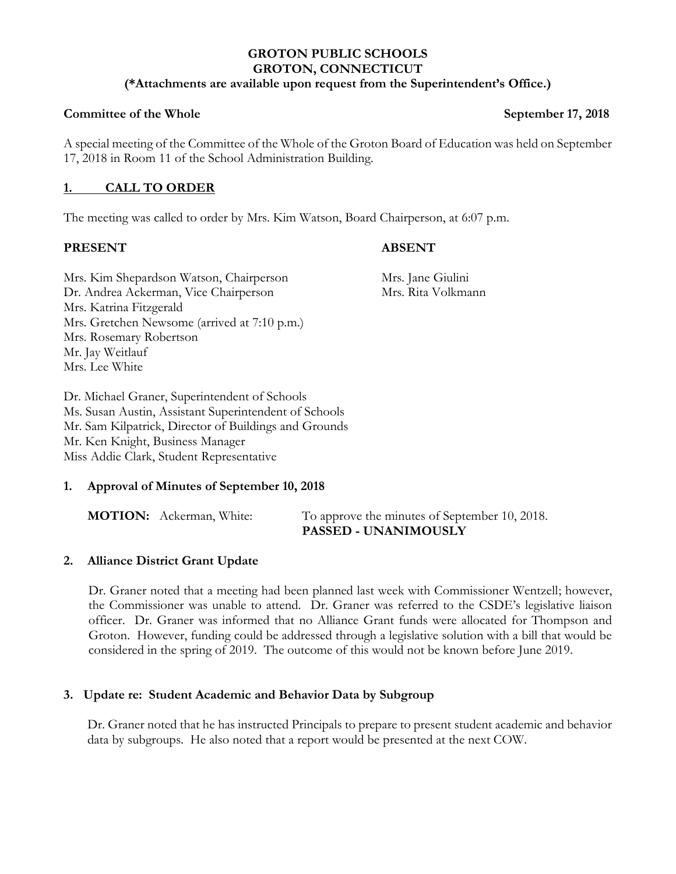## **GROTON PUBLIC SCHOOLS GROTON, CONNECTICUT**

## **(\*Attachments are available upon request from the Superintendent's Office.)**

#### **Committee of the Whole September 17, 2018**

A special meeting of the Committee of the Whole of the Groton Board of Education was held on September 17, 2018 in Room 11 of the School Administration Building.

# **1. CALL TO ORDER**

The meeting was called to order by Mrs. Kim Watson, Board Chairperson, at 6:07 p.m.

#### **PRESENT ABSENT**

Mrs. Kim Shepardson Watson, Chairperson Mrs. Jane Giulini Dr. Andrea Ackerman, Vice Chairperson Mrs. Rita Volkmann Mrs. Katrina Fitzgerald Mrs. Gretchen Newsome (arrived at 7:10 p.m.) Mrs. Rosemary Robertson Mr. Jay Weitlauf Mrs. Lee White

Dr. Michael Graner, Superintendent of Schools Ms. Susan Austin, Assistant Superintendent of Schools Mr. Sam Kilpatrick, Director of Buildings and Grounds Mr. Ken Knight, Business Manager Miss Addie Clark, Student Representative

## **1. Approval of Minutes of September 10, 2018**

**MOTION:** Ackerman, White: To approve the minutes of September 10, 2018.  **PASSED - UNANIMOUSLY**

## **2. Alliance District Grant Update**

Dr. Graner noted that a meeting had been planned last week with Commissioner Wentzell; however, the Commissioner was unable to attend. Dr. Graner was referred to the CSDE's legislative liaison officer. Dr. Graner was informed that no Alliance Grant funds were allocated for Thompson and Groton. However, funding could be addressed through a legislative solution with a bill that would be considered in the spring of 2019. The outcome of this would not be known before June 2019.

## **3. Update re: Student Academic and Behavior Data by Subgroup**

Dr. Graner noted that he has instructed Principals to prepare to present student academic and behavior data by subgroups. He also noted that a report would be presented at the next COW.